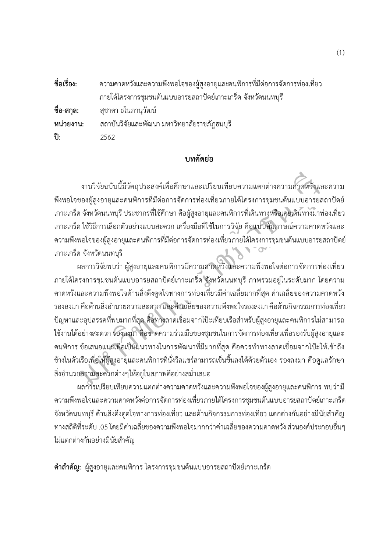| ชื่อเรื่อง: | ความคาดหวังและความพึงพอใจของผู้สูงอายุและคนพิการที่มีต่อการจัดการท่องเที่ยว |
|-------------|-----------------------------------------------------------------------------|
|             | ิภายใต้โครงการชุมชนต้นแบบอารยสถาปัตย์เกาะเกร็ด จังหวัดนนทบุรี               |
|             | ี <b>ชื่อ-สกุล:</b> สุชาดา ธโนภานุวัฒน์                                     |
| หน่วยงาน:   | ิสถาบันวิจัยและพัฒนา มหาวิทยาลัยราชภัฏธนบุรี                                |
| ปี:         | 2562                                                                        |

## **บทคัดยอ**

 $\frac{1}{2}$  งานวิจัยฉบับนี้มีวัตถุประสงคเพื่อศึกษาและเปรียบเทียบความแตกตางความคาดหวังและความ พึงพอใจของผูสูงอายุและคนพิการที่มีตอการจัดการทองเที่ยวภายใตโครงการชุมชนตนแบบอารยสถาปตย เกาะเกร็ดจังหวัดนนทบุรีประชากรที่ใชศึกษา คือผูสูงอายุและคนพิการที่เดินทางหรือเคยเดินทางมาทองเที่ยว เกาะเกร็ด ใชวิธีการเลือกตัวอยางแบบสะดวก เครื่องมือที่ใชในการวิจัย คือแบบสัมภาษณความคาดหวังและ ความพึงพอใจของผ้สงอายุและคนพิการที่มีต่อการจัดการท่องเที่ยวภายใต้โครงการชมชนต้นแบบอารยสถาปัตย์ เกาะเกร็ด จังหวัดนนทบุรี

งานวิจัยฉบับนี้มีวัตถุประสงค์เพื่อศึกษาและเปรียบเทียบความแตกต่างความคัวดหวังแล<br>ของผู้สูงอายุและคนพิการที่มีต่อการจัดการท่องเที่ยวภายได้โครงการชุมชนต้นแบบอารยส<br>ค.จังหวัดนนพบุรี ประชากรที่ใช้ศึกษา คือผู้สูงอายุและคนพิการที่ ผลการวิจัยพบวา ผูสูงอายุและคนพิการมีความคาดหวังและความพึงพอใจตอการจัดการทองเที่ยว ภายใตโครงการชุมชนตนแบบอารยสถาปตยเกาะเกร็ด จังหวัดนนทบุรีภาพรวมอยูในระดับมาก โดยความ คาดหวังและความพึงพอใจดานสิ่งดึงดูดใจทางการทองเที่ยวมีคาเฉลี่ยมากที่สุด คาเฉลี่ยของความคาดหวัง รองลงมา คือด้านสิ่งอำนวยความสะดวก และค่าเฉลี่ยของความพึงพอใจรองลงมา คือด้านกิจกรรมการท่องเที่ยว ปญหาและอุปสรรคที่พบมากที่สุด คือทางลาดเชื่อมจากโปะเทียบเรือสําหรับผูสูงอายุและคนพิการไมสามารถ ใชงานไดอยางสะดวก รองลงมาคือขาดความรวมมือของชุมชนในการจัดการทองเที่ยวเพื่อรองรับผูสูงอายุและ คนพิการ ขอเสนอแนะเพื่อเปนแนวทางในการพัฒนาที่มีมากที่สุด คือควรทําทางลาดเชื่อมจากโปะใหเขาถึง ขางในตัวเรือเพื่อใหผูสูงอายุและคนพิการที่นั่งวีลแชรสามารถเข็นขึ้นลงไดดวยตัวเอง รองลงมา คือดูแลรักษา สิ่งอำนวยความสะดวกต่างๆให้อยู่ในสภาพดีอย่างสม่ำเสมอ

ผลการเปรียบเทียบความแตกตางความคาดหวังและความพึงพอใจของผูสูงอายุและคนพิการ พบวามี ความพึงพอใจและความคาดหวังตอการจัดการทองเที่ยวภายใตโครงการชุมชนตนแบบอารยสถาปตยเกาะเกร็ด จังหวัดนนทบุรี ด้านสิ่งดึงดูดใจทางการท่องเที่ยว และด้านกิจกรรมการท่องเที่ยว แตกต่างกันอย่างมีนัยสำคัญ ทางสถิติที่ระดับ .05โดยมีคาเฉลี่ยของความพึงพอใจมากกวาคาเฉลี่ยของความคาดหวัง สวนองคประกอบอื่นๆ ไมแตกตางกันอยางมีนัยสําคัญ

**คําสําคัญ:** ผูสูงอายุและคนพิการ โครงการชุมชนตนแบบอารยสถาปตยเกาะเกร็ด